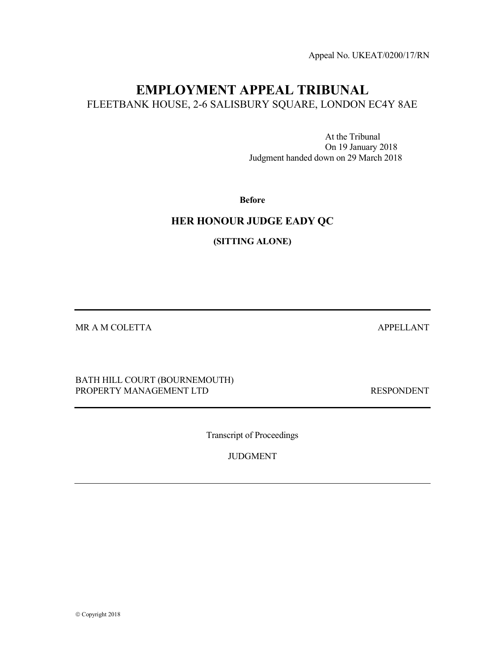Appeal No. UKEAT/0200/17/RN

# EMPLOYMENT APPEAL TRIBUNAL FLEETBANK HOUSE, 2-6 SALISBURY SQUARE, LONDON EC4Y 8AE

 At the Tribunal On 19 January 2018 Judgment handed down on 29 March 2018

Before

# HER HONOUR JUDGE EADY QC

(SITTING ALONE)

MR A M COLETTA APPELLANT

BATH HILL COURT (BOURNEMOUTH) PROPERTY MANAGEMENT LTD RESPONDENT

Transcript of Proceedings

JUDGMENT

© Copyright 2018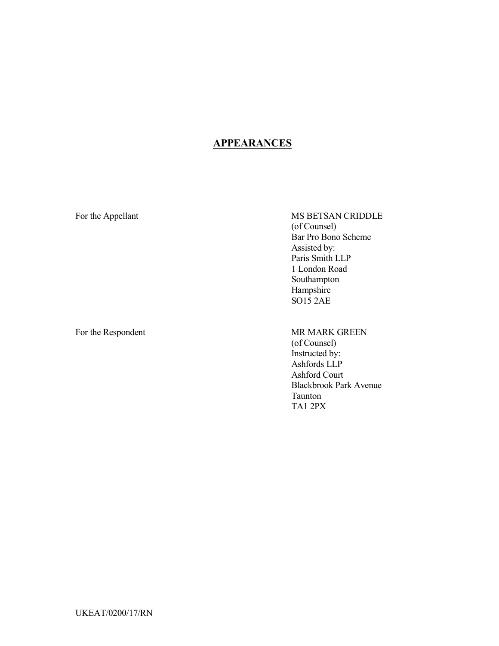# **APPEARANCES**

For the Appellant MS BETSAN CRIDDLE (of Counsel) Bar Pro Bono Scheme Assisted by: Paris Smith LLP 1 London Road Southampton Hampshire SO15 2AE

For the Respondent MR MARK GREEN

# (of Counsel) Instructed by: Ashfords LLP Ashford Court

Blackbrook Park Avenue Taunton TA1 2PX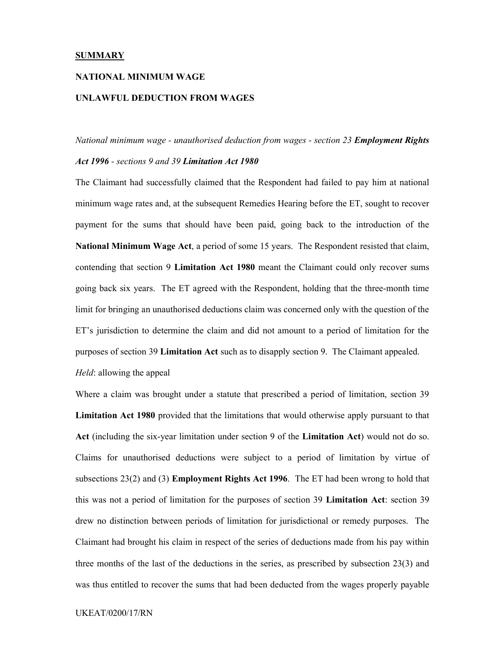#### **SUMMARY**

#### NATIONAL MINIMUM WAGE

#### UNLAWFUL DEDUCTION FROM WAGES

# National minimum wage - unauthorised deduction from wages - section 23 **Employment Rights**

## Act 1996 - sections 9 and 39 Limitation Act 1980

The Claimant had successfully claimed that the Respondent had failed to pay him at national minimum wage rates and, at the subsequent Remedies Hearing before the ET, sought to recover payment for the sums that should have been paid, going back to the introduction of the National Minimum Wage Act, a period of some 15 years. The Respondent resisted that claim, contending that section 9 Limitation Act 1980 meant the Claimant could only recover sums going back six years. The ET agreed with the Respondent, holding that the three-month time limit for bringing an unauthorised deductions claim was concerned only with the question of the ET's jurisdiction to determine the claim and did not amount to a period of limitation for the purposes of section 39 Limitation Act such as to disapply section 9. The Claimant appealed.

Held: allowing the appeal

Where a claim was brought under a statute that prescribed a period of limitation, section 39 Limitation Act 1980 provided that the limitations that would otherwise apply pursuant to that Act (including the six-year limitation under section 9 of the Limitation Act) would not do so. Claims for unauthorised deductions were subject to a period of limitation by virtue of subsections 23(2) and (3) Employment Rights Act 1996. The ET had been wrong to hold that this was not a period of limitation for the purposes of section 39 Limitation Act: section 39 drew no distinction between periods of limitation for jurisdictional or remedy purposes. The Claimant had brought his claim in respect of the series of deductions made from his pay within three months of the last of the deductions in the series, as prescribed by subsection 23(3) and was thus entitled to recover the sums that had been deducted from the wages properly payable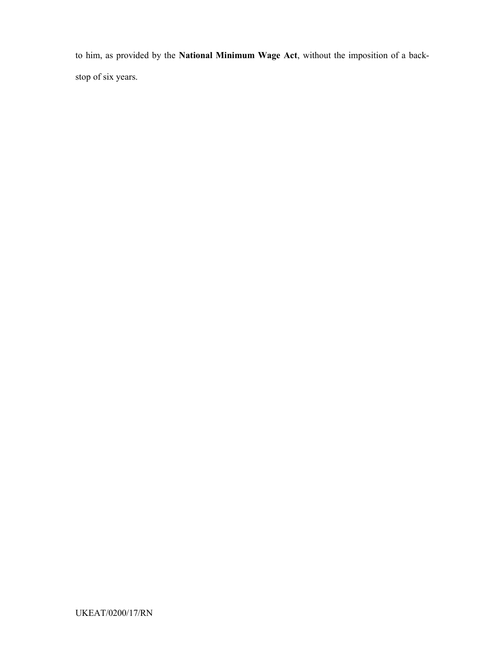to him, as provided by the National Minimum Wage Act, without the imposition of a backstop of six years.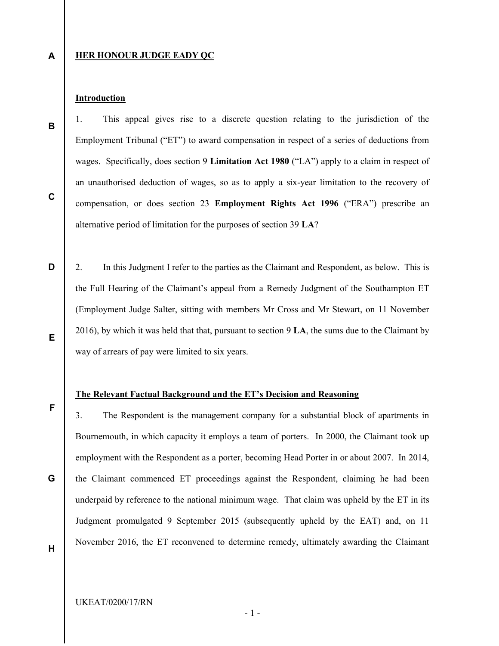A

B

C

### **HER HONOUR JUDGE EADY QC**

## **Introduction**

1. This appeal gives rise to a discrete question relating to the jurisdiction of the Employment Tribunal ("ET") to award compensation in respect of a series of deductions from wages. Specifically, does section 9 Limitation Act 1980 ("LA") apply to a claim in respect of an unauthorised deduction of wages, so as to apply a six-year limitation to the recovery of compensation, or does section 23 Employment Rights Act 1996 ("ERA") prescribe an alternative period of limitation for the purposes of section 39 LA?

D E 2. In this Judgment I refer to the parties as the Claimant and Respondent, as below. This is the Full Hearing of the Claimant's appeal from a Remedy Judgment of the Southampton ET (Employment Judge Salter, sitting with members Mr Cross and Mr Stewart, on 11 November 2016), by which it was held that that, pursuant to section 9 LA, the sums due to the Claimant by way of arrears of pay were limited to six years.

#### The Relevant Factual Background and the ET's Decision and Reasoning

3. The Respondent is the management company for a substantial block of apartments in Bournemouth, in which capacity it employs a team of porters. In 2000, the Claimant took up employment with the Respondent as a porter, becoming Head Porter in or about 2007. In 2014, the Claimant commenced ET proceedings against the Respondent, claiming he had been underpaid by reference to the national minimum wage. That claim was upheld by the ET in its Judgment promulgated 9 September 2015 (subsequently upheld by the EAT) and, on 11 November 2016, the ET reconvened to determine remedy, ultimately awarding the Claimant

H

G

F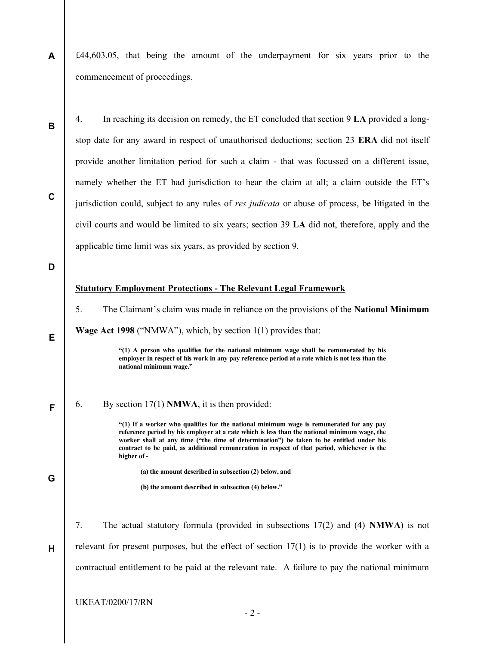A £44,603.05, that being the amount of the underpayment for six years prior to the commencement of proceedings.

B

4. In reaching its decision on remedy, the ET concluded that section 9 LA provided a longstop date for any award in respect of unauthorised deductions; section 23 ERA did not itself provide another limitation period for such a claim - that was focussed on a different issue, namely whether the ET had jurisdiction to hear the claim at all; a claim outside the ET's jurisdiction could, subject to any rules of res judicata or abuse of process, be litigated in the civil courts and would be limited to six years; section 39 LA did not, therefore, apply and the applicable time limit was six years, as provided by section 9.

D

E

F

G

H

C

#### Statutory Employment Protections - The Relevant Legal Framework

5. The Claimant's claim was made in reliance on the provisions of the National Minimum

Wage Act 1998 ("NMWA"), which, by section 1(1) provides that:

"(1) A person who qualifies for the national minimum wage shall be remunerated by his employer in respect of his work in any pay reference period at a rate which is not less than the national minimum wage."

6. By section 17(1) NMWA, it is then provided:

"(1) If a worker who qualifies for the national minimum wage is remunerated for any pay reference period by his employer at a rate which is less than the national minimum wage, the worker shall at any time ("the time of determination") be taken to be entitled under his contract to be paid, as additional remuneration in respect of that period, whichever is the higher of -

(a) the amount described in subsection (2) below, and

(b) the amount described in subsection (4) below."

7. The actual statutory formula (provided in subsections 17(2) and (4) NMWA) is not relevant for present purposes, but the effect of section  $17(1)$  is to provide the worker with a contractual entitlement to be paid at the relevant rate. A failure to pay the national minimum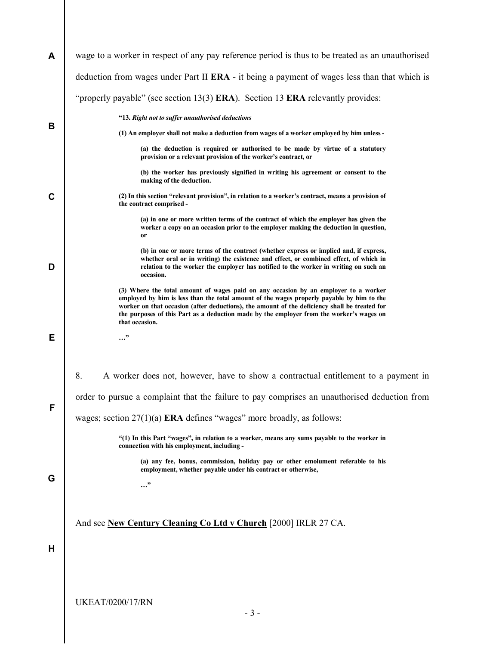| A | wage to a worker in respect of any pay reference period is thus to be treated as an unauthorised                                                                                                                                                                                                                                                                                                |  |  |  |  |
|---|-------------------------------------------------------------------------------------------------------------------------------------------------------------------------------------------------------------------------------------------------------------------------------------------------------------------------------------------------------------------------------------------------|--|--|--|--|
|   | deduction from wages under Part II ERA - it being a payment of wages less than that which is                                                                                                                                                                                                                                                                                                    |  |  |  |  |
|   | "properly payable" (see section $13(3)$ ERA). Section 13 ERA relevantly provides:                                                                                                                                                                                                                                                                                                               |  |  |  |  |
| В | "13. Right not to suffer unauthorised deductions                                                                                                                                                                                                                                                                                                                                                |  |  |  |  |
|   | (1) An employer shall not make a deduction from wages of a worker employed by him unless -                                                                                                                                                                                                                                                                                                      |  |  |  |  |
|   | (a) the deduction is required or authorised to be made by virtue of a statutory<br>provision or a relevant provision of the worker's contract, or                                                                                                                                                                                                                                               |  |  |  |  |
|   | (b) the worker has previously signified in writing his agreement or consent to the<br>making of the deduction.                                                                                                                                                                                                                                                                                  |  |  |  |  |
| C | (2) In this section "relevant provision", in relation to a worker's contract, means a provision of<br>the contract comprised -                                                                                                                                                                                                                                                                  |  |  |  |  |
|   | (a) in one or more written terms of the contract of which the employer has given the<br>worker a copy on an occasion prior to the employer making the deduction in question,<br>or                                                                                                                                                                                                              |  |  |  |  |
| D | (b) in one or more terms of the contract (whether express or implied and, if express,<br>whether oral or in writing) the existence and effect, or combined effect, of which in<br>relation to the worker the employer has notified to the worker in writing on such an<br>occasion.                                                                                                             |  |  |  |  |
|   | (3) Where the total amount of wages paid on any occasion by an employer to a worker<br>employed by him is less than the total amount of the wages properly payable by him to the<br>worker on that occasion (after deductions), the amount of the deficiency shall be treated for<br>the purposes of this Part as a deduction made by the employer from the worker's wages on<br>that occasion. |  |  |  |  |
| Е |                                                                                                                                                                                                                                                                                                                                                                                                 |  |  |  |  |
|   |                                                                                                                                                                                                                                                                                                                                                                                                 |  |  |  |  |
|   | 8.<br>A worker does not, however, have to show a contractual entitlement to a payment in                                                                                                                                                                                                                                                                                                        |  |  |  |  |
|   | order to pursue a complaint that the failure to pay comprises an unauthorised deduction from                                                                                                                                                                                                                                                                                                    |  |  |  |  |
| F | wages; section $27(1)(a)$ ERA defines "wages" more broadly, as follows:                                                                                                                                                                                                                                                                                                                         |  |  |  |  |
|   | "(1) In this Part "wages", in relation to a worker, means any sums payable to the worker in<br>connection with his employment, including -                                                                                                                                                                                                                                                      |  |  |  |  |
| G | (a) any fee, bonus, commission, holiday pay or other emolument referable to his<br>employment, whether payable under his contract or otherwise,                                                                                                                                                                                                                                                 |  |  |  |  |
|   | "                                                                                                                                                                                                                                                                                                                                                                                               |  |  |  |  |
|   |                                                                                                                                                                                                                                                                                                                                                                                                 |  |  |  |  |
| н | And see New Century Cleaning Co Ltd v Church [2000] IRLR 27 CA.                                                                                                                                                                                                                                                                                                                                 |  |  |  |  |
|   |                                                                                                                                                                                                                                                                                                                                                                                                 |  |  |  |  |
|   |                                                                                                                                                                                                                                                                                                                                                                                                 |  |  |  |  |
|   |                                                                                                                                                                                                                                                                                                                                                                                                 |  |  |  |  |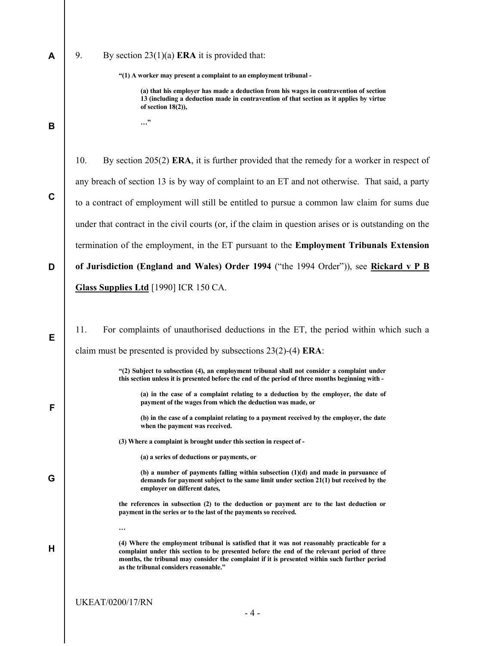A

#### 9. By section  $23(1)(a)$  **ERA** it is provided that:

…"

"(1) A worker may present a complaint to an employment tribunal -

(a) that his employer has made a deduction from his wages in contravention of section 13 (including a deduction made in contravention of that section as it applies by virtue of section 18(2)),

C

E

F

G

H

B

10. By section 205(2) ERA, it is further provided that the remedy for a worker in respect of any breach of section 13 is by way of complaint to an ET and not otherwise. That said, a party to a contract of employment will still be entitled to pursue a common law claim for sums due under that contract in the civil courts (or, if the claim in question arises or is outstanding on the termination of the employment, in the ET pursuant to the Employment Tribunals Extension

D of Jurisdiction (England and Wales) Order 1994 ("the 1994 Order")), see Rickard v P B Glass Supplies Ltd [1990] ICR 150 CA.

11. For complaints of unauthorised deductions in the ET, the period within which such a claim must be presented is provided by subsections 23(2)-(4) ERA:

> "(2) Subject to subsection (4), an employment tribunal shall not consider a complaint under this section unless it is presented before the end of the period of three months beginning with -

(a) in the case of a complaint relating to a deduction by the employer, the date of payment of the wages from which the deduction was made, or

(b) in the case of a complaint relating to a payment received by the employer, the date when the payment was received.

(3) Where a complaint is brought under this section in respect of -

(a) a series of deductions or payments, or

(b) a number of payments falling within subsection (1)(d) and made in pursuance of demands for payment subject to the same limit under section 21(1) but received by the employer on different dates,

the references in subsection (2) to the deduction or payment are to the last deduction or payment in the series or to the last of the payments so received.

(4) Where the employment tribunal is satisfied that it was not reasonably practicable for a complaint under this section to be presented before the end of the relevant period of three months, the tribunal may consider the complaint if it is presented within such further period as the tribunal considers reasonable."

…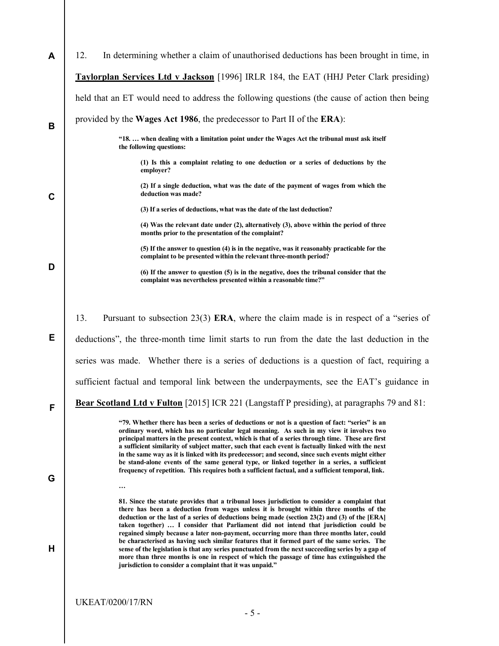| A                                                                                                | In determining whether a claim of unauthorised deductions has been brought in time, in<br>12.                                                                                                                                                                                                                                                                                                                                                                                                             |  |  |
|--------------------------------------------------------------------------------------------------|-----------------------------------------------------------------------------------------------------------------------------------------------------------------------------------------------------------------------------------------------------------------------------------------------------------------------------------------------------------------------------------------------------------------------------------------------------------------------------------------------------------|--|--|
|                                                                                                  | Taylorplan Services Ltd v Jackson [1996] IRLR 184, the EAT (HHJ Peter Clark presiding)                                                                                                                                                                                                                                                                                                                                                                                                                    |  |  |
|                                                                                                  | held that an ET would need to address the following questions (the cause of action then being                                                                                                                                                                                                                                                                                                                                                                                                             |  |  |
| B                                                                                                | provided by the Wages Act 1986, the predecessor to Part II of the ERA):                                                                                                                                                                                                                                                                                                                                                                                                                                   |  |  |
|                                                                                                  | "18.  when dealing with a limitation point under the Wages Act the tribunal must ask itself<br>the following questions:                                                                                                                                                                                                                                                                                                                                                                                   |  |  |
|                                                                                                  | (1) Is this a complaint relating to one deduction or a series of deductions by the<br>employer?                                                                                                                                                                                                                                                                                                                                                                                                           |  |  |
| C                                                                                                | (2) If a single deduction, what was the date of the payment of wages from which the<br>deduction was made?                                                                                                                                                                                                                                                                                                                                                                                                |  |  |
|                                                                                                  | (3) If a series of deductions, what was the date of the last deduction?                                                                                                                                                                                                                                                                                                                                                                                                                                   |  |  |
|                                                                                                  | (4) Was the relevant date under (2), alternatively (3), above within the period of three<br>months prior to the presentation of the complaint?                                                                                                                                                                                                                                                                                                                                                            |  |  |
| D                                                                                                | (5) If the answer to question (4) is in the negative, was it reasonably practicable for the<br>complaint to be presented within the relevant three-month period?                                                                                                                                                                                                                                                                                                                                          |  |  |
|                                                                                                  | (6) If the answer to question (5) is in the negative, does the tribunal consider that the<br>complaint was nevertheless presented within a reasonable time?"                                                                                                                                                                                                                                                                                                                                              |  |  |
|                                                                                                  |                                                                                                                                                                                                                                                                                                                                                                                                                                                                                                           |  |  |
|                                                                                                  | 13.<br>Pursuant to subsection $23(3)$ ERA, where the claim made is in respect of a "series of                                                                                                                                                                                                                                                                                                                                                                                                             |  |  |
| Е                                                                                                | deductions", the three-month time limit starts to run from the date the last deduction in the                                                                                                                                                                                                                                                                                                                                                                                                             |  |  |
|                                                                                                  | series was made. Whether there is a series of deductions is a question of fact, requiring a                                                                                                                                                                                                                                                                                                                                                                                                               |  |  |
|                                                                                                  | sufficient factual and temporal link between the underpayments, see the EAT's guidance in                                                                                                                                                                                                                                                                                                                                                                                                                 |  |  |
| Bear Scotland Ltd v Fulton [2015] ICR 221 (Langstaff P presiding), at paragraphs 79 and 81:<br>F |                                                                                                                                                                                                                                                                                                                                                                                                                                                                                                           |  |  |
|                                                                                                  | "79. Whether there has been a series of deductions or not is a question of fact: "series" is an<br>ordinary word, which has no particular legal meaning. As such in my view it involves two<br>principal matters in the present context, which is that of a series through time. These are first<br>a sufficient similarity of subject matter, such that each event is factually linked with the next<br>in the same way as it is linked with its predecessor; and second, since such events might either |  |  |
|                                                                                                  | be stand-alone events of the same general type, or linked together in a series, a sufficient<br>frequency of repetition. This requires both a sufficient factual, and a sufficient temporal, link.                                                                                                                                                                                                                                                                                                        |  |  |
| G                                                                                                | $\ddotsc$                                                                                                                                                                                                                                                                                                                                                                                                                                                                                                 |  |  |
|                                                                                                  | 81. Since the statute provides that a tribunal loses jurisdiction to consider a complaint that<br>there has been a deduction from wages unless it is brought within three months of the<br>deduction or the last of a series of deductions being made (section 23(2) and (3) of the [ERA]<br>taken together)  I consider that Parliament did not intend that jurisdiction could be<br>regained simply because a later non-payment, occurring more than three months later, could                          |  |  |
| н                                                                                                | be characterised as having such similar features that it formed part of the same series. The<br>sense of the legislation is that any series punctuated from the next succeeding series by a gap of<br>more than three months is one in respect of which the passage of time has extinguished the<br>jurisdiction to consider a complaint that it was unpaid."                                                                                                                                             |  |  |
|                                                                                                  |                                                                                                                                                                                                                                                                                                                                                                                                                                                                                                           |  |  |
|                                                                                                  | <b>UKEAT/0200/17/RN</b>                                                                                                                                                                                                                                                                                                                                                                                                                                                                                   |  |  |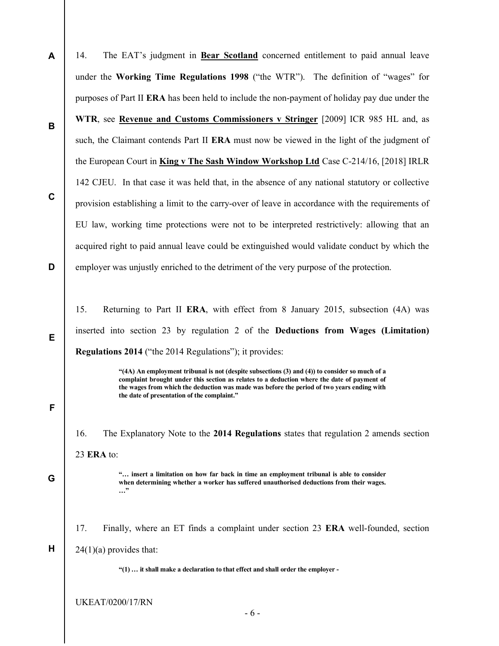A B C D 14. The EAT's judgment in Bear Scotland concerned entitlement to paid annual leave under the Working Time Regulations 1998 ("the WTR"). The definition of "wages" for purposes of Part II ERA has been held to include the non-payment of holiday pay due under the WTR, see Revenue and Customs Commissioners v Stringer [2009] ICR 985 HL and, as such, the Claimant contends Part II ERA must now be viewed in the light of the judgment of the European Court in King v The Sash Window Workshop Ltd Case C-214/16, [2018] IRLR 142 CJEU. In that case it was held that, in the absence of any national statutory or collective provision establishing a limit to the carry-over of leave in accordance with the requirements of EU law, working time protections were not to be interpreted restrictively: allowing that an acquired right to paid annual leave could be extinguished would validate conduct by which the employer was unjustly enriched to the detriment of the very purpose of the protection.

15. Returning to Part II ERA, with effect from 8 January 2015, subsection (4A) was inserted into section 23 by regulation 2 of the Deductions from Wages (Limitation) Regulations 2014 ("the 2014 Regulations"); it provides:

> "(4A) An employment tribunal is not (despite subsections (3) and (4)) to consider so much of a complaint brought under this section as relates to a deduction where the date of payment of the wages from which the deduction was made was before the period of two years ending with the date of presentation of the complaint."

16. The Explanatory Note to the 2014 Regulations states that regulation 2 amends section 23 ERA to:

> "… insert a limitation on how far back in time an employment tribunal is able to consider when determining whether a worker has suffered unauthorised deductions from their wages. …"

17. Finally, where an ET finds a complaint under section 23 ERA well-founded, section  $24(1)(a)$  provides that:

"(1) … it shall make a declaration to that effect and shall order the employer -

UKEAT/0200/17/RN

E

F

G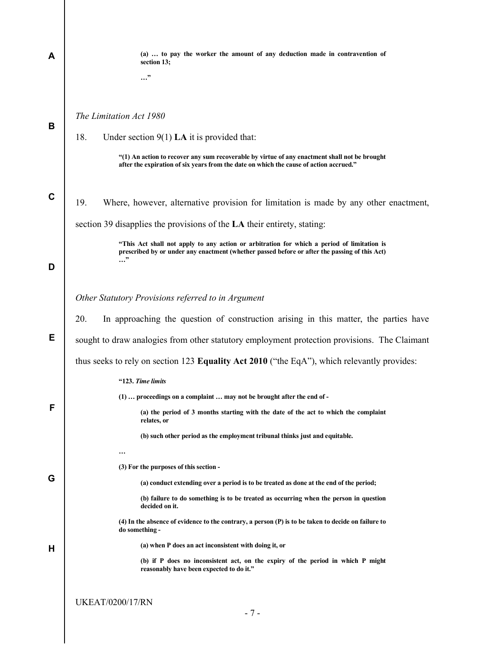| Α           | (a)  to pay the worker the amount of any deduction made in contravention of<br>section 13;                                                                                                                |
|-------------|-----------------------------------------------------------------------------------------------------------------------------------------------------------------------------------------------------------|
|             | "                                                                                                                                                                                                         |
|             |                                                                                                                                                                                                           |
| В           | The Limitation Act 1980                                                                                                                                                                                   |
|             | 18.<br>Under section $9(1)$ LA it is provided that:                                                                                                                                                       |
|             | "(1) An action to recover any sum recoverable by virtue of any enactment shall not be brought<br>after the expiration of six years from the date on which the cause of action accrued."                   |
| $\mathbf c$ | 19.<br>Where, however, alternative provision for limitation is made by any other enactment,                                                                                                               |
|             | section 39 disapplies the provisions of the LA their entirety, stating:                                                                                                                                   |
| D           | "This Act shall not apply to any action or arbitration for which a period of limitation is<br>prescribed by or under any enactment (whether passed before or after the passing of this Act)<br>$\cdots$ " |
|             |                                                                                                                                                                                                           |
|             | Other Statutory Provisions referred to in Argument                                                                                                                                                        |
|             | In approaching the question of construction arising in this matter, the parties have<br>20.                                                                                                               |
|             |                                                                                                                                                                                                           |
| Е           | sought to draw analogies from other statutory employment protection provisions. The Claimant                                                                                                              |
|             | thus seeks to rely on section 123 Equality Act 2010 ("the EqA"), which relevantly provides:                                                                                                               |
|             | "123. Time limits                                                                                                                                                                                         |
|             | (1)  proceedings on a complaint  may not be brought after the end of -                                                                                                                                    |
| F           | (a) the period of 3 months starting with the date of the act to which the complaint<br>relates, or                                                                                                        |
|             | (b) such other period as the employment tribunal thinks just and equitable.                                                                                                                               |
|             | $\ddotsc$                                                                                                                                                                                                 |
|             | (3) For the purposes of this section -                                                                                                                                                                    |
| G           | (a) conduct extending over a period is to be treated as done at the end of the period;                                                                                                                    |
|             | (b) failure to do something is to be treated as occurring when the person in question<br>decided on it.                                                                                                   |
|             | (4) In the absence of evidence to the contrary, a person (P) is to be taken to decide on failure to<br>do something -                                                                                     |
| н           | (a) when P does an act inconsistent with doing it, or                                                                                                                                                     |
|             | (b) if P does no inconsistent act, on the expiry of the period in which P might<br>reasonably have been expected to do it."                                                                               |
|             |                                                                                                                                                                                                           |
|             | <b>UKEAT/0200/17/RN</b><br>$-7-$                                                                                                                                                                          |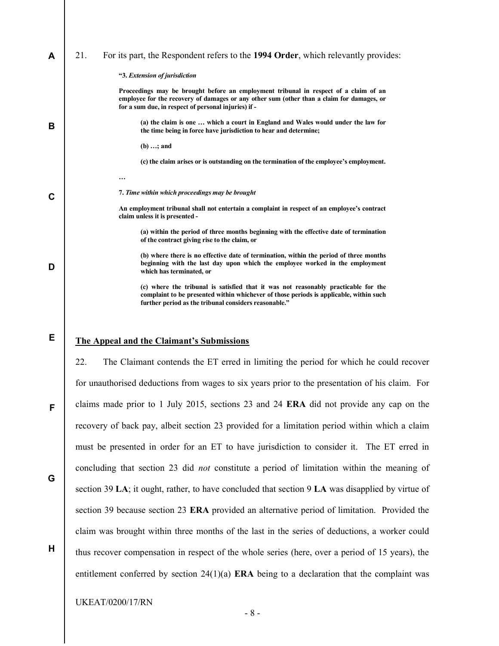| A | 21. | For its part, the Respondent refers to the 1994 Order, which relevantly provides:                                                                                                                                                         |
|---|-----|-------------------------------------------------------------------------------------------------------------------------------------------------------------------------------------------------------------------------------------------|
|   |     | "3. Extension of jurisdiction                                                                                                                                                                                                             |
|   |     | Proceedings may be brought before an employment tribunal in respect of a claim of an<br>employee for the recovery of damages or any other sum (other than a claim for damages, or<br>for a sum due, in respect of personal injuries) if - |
| В |     | (a) the claim is one  which a court in England and Wales would under the law for<br>the time being in force have jurisdiction to hear and determine;                                                                                      |
|   |     | $(b) \ldots;$ and                                                                                                                                                                                                                         |
|   |     | (c) the claim arises or is outstanding on the termination of the employee's employment.                                                                                                                                                   |
|   |     | $\cdots$                                                                                                                                                                                                                                  |
| C |     | 7. Time within which proceedings may be brought                                                                                                                                                                                           |
|   |     | An employment tribunal shall not entertain a complaint in respect of an employee's contract<br>claim unless it is presented -                                                                                                             |
| D |     | (a) within the period of three months beginning with the effective date of termination<br>of the contract giving rise to the claim, or                                                                                                    |
|   |     | (b) where there is no effective date of termination, within the period of three months<br>beginning with the last day upon which the employee worked in the employment<br>which has terminated, or                                        |
|   |     | (c) where the tribunal is satisfied that it was not reasonably practicable for the<br>complaint to be presented within whichever of those periods is applicable, within such<br>further period as the tribunal considers reasonable."     |

### The Appeal and the Claimant's Submissions

E

F

G

H

22. The Claimant contends the ET erred in limiting the period for which he could recover for unauthorised deductions from wages to six years prior to the presentation of his claim. For claims made prior to 1 July 2015, sections 23 and 24 ERA did not provide any cap on the recovery of back pay, albeit section 23 provided for a limitation period within which a claim must be presented in order for an ET to have jurisdiction to consider it. The ET erred in concluding that section 23 did not constitute a period of limitation within the meaning of section 39 LA; it ought, rather, to have concluded that section 9 LA was disapplied by virtue of section 39 because section 23 ERA provided an alternative period of limitation. Provided the claim was brought within three months of the last in the series of deductions, a worker could thus recover compensation in respect of the whole series (here, over a period of 15 years), the entitlement conferred by section  $24(1)(a)$  ERA being to a declaration that the complaint was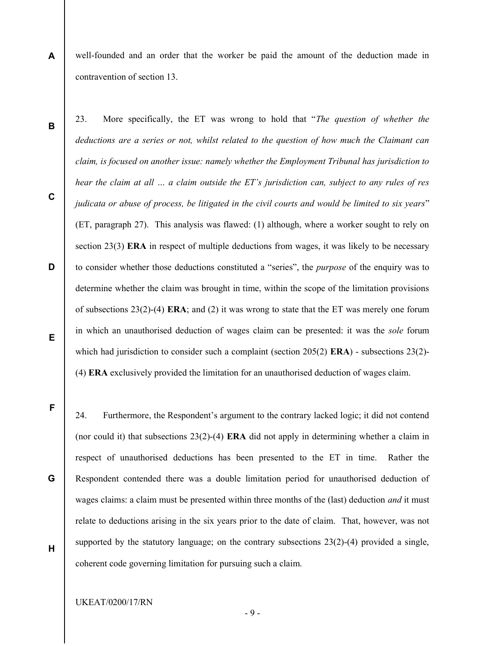- A well-founded and an order that the worker be paid the amount of the deduction made in contravention of section 13.
	- 23. More specifically, the ET was wrong to hold that "The question of whether the deductions are a series or not, whilst related to the question of how much the Claimant can claim, is focused on another issue: namely whether the Employment Tribunal has jurisdiction to hear the claim at all ... a claim outside the ET's jurisdiction can, subject to any rules of res judicata or abuse of process, be litigated in the civil courts and would be limited to six years" (ET, paragraph 27). This analysis was flawed: (1) although, where a worker sought to rely on section 23(3) ERA in respect of multiple deductions from wages, it was likely to be necessary to consider whether those deductions constituted a "series", the purpose of the enquiry was to determine whether the claim was brought in time, within the scope of the limitation provisions of subsections 23(2)-(4) ERA; and (2) it was wrong to state that the ET was merely one forum in which an unauthorised deduction of wages claim can be presented: it was the sole forum which had jurisdiction to consider such a complaint (section 205(2) **ERA**) - subsections 23(2)-(4) ERA exclusively provided the limitation for an unauthorised deduction of wages claim.

F

B

C

D

E

- 24. Furthermore, the Respondent's argument to the contrary lacked logic; it did not contend (nor could it) that subsections 23(2)-(4) ERA did not apply in determining whether a claim in respect of unauthorised deductions has been presented to the ET in time. Rather the Respondent contended there was a double limitation period for unauthorised deduction of wages claims: a claim must be presented within three months of the (last) deduction and it must relate to deductions arising in the six years prior to the date of claim. That, however, was not supported by the statutory language; on the contrary subsections  $23(2)-(4)$  provided a single, coherent code governing limitation for pursuing such a claim.
- H

G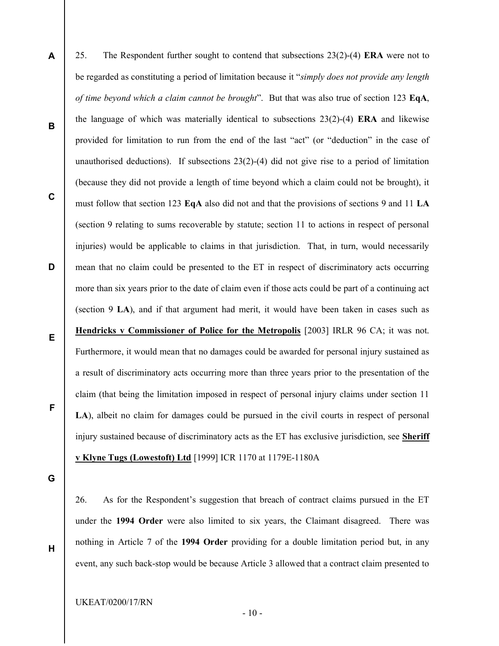- A B C D E F 25. The Respondent further sought to contend that subsections 23(2)-(4) ERA were not to be regarded as constituting a period of limitation because it "simply does not provide any length of time beyond which a claim cannot be brought". But that was also true of section 123  $EqA$ , the language of which was materially identical to subsections  $23(2)-(4)$  ERA and likewise provided for limitation to run from the end of the last "act" (or "deduction" in the case of unauthorised deductions). If subsections 23(2)-(4) did not give rise to a period of limitation (because they did not provide a length of time beyond which a claim could not be brought), it must follow that section 123 EqA also did not and that the provisions of sections 9 and 11 LA (section 9 relating to sums recoverable by statute; section 11 to actions in respect of personal injuries) would be applicable to claims in that jurisdiction. That, in turn, would necessarily mean that no claim could be presented to the ET in respect of discriminatory acts occurring more than six years prior to the date of claim even if those acts could be part of a continuing act (section 9 LA), and if that argument had merit, it would have been taken in cases such as Hendricks v Commissioner of Police for the Metropolis [2003] IRLR 96 CA; it was not. Furthermore, it would mean that no damages could be awarded for personal injury sustained as a result of discriminatory acts occurring more than three years prior to the presentation of the claim (that being the limitation imposed in respect of personal injury claims under section 11 LA), albeit no claim for damages could be pursued in the civil courts in respect of personal injury sustained because of discriminatory acts as the ET has exclusive jurisdiction, see Sheriff v Klyne Tugs (Lowestoft) Ltd [1999] ICR 1170 at 1179E-1180A
- G

H

26. As for the Respondent's suggestion that breach of contract claims pursued in the ET under the 1994 Order were also limited to six years, the Claimant disagreed. There was nothing in Article 7 of the 1994 Order providing for a double limitation period but, in any event, any such back-stop would be because Article 3 allowed that a contract claim presented to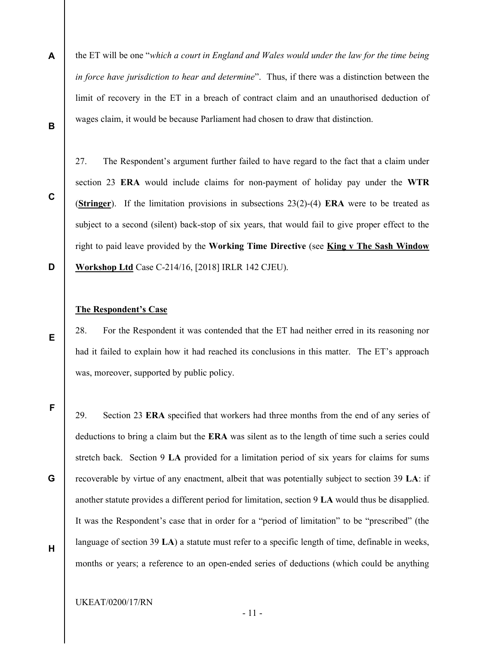A B the ET will be one "which a court in England and Wales would under the law for the time being in force have jurisdiction to hear and determine". Thus, if there was a distinction between the limit of recovery in the ET in a breach of contract claim and an unauthorised deduction of wages claim, it would be because Parliament had chosen to draw that distinction.

C

D

E

27. The Respondent's argument further failed to have regard to the fact that a claim under section 23 ERA would include claims for non-payment of holiday pay under the WTR (Stringer). If the limitation provisions in subsections  $23(2)-(4)$  ERA were to be treated as subject to a second (silent) back-stop of six years, that would fail to give proper effect to the right to paid leave provided by the Working Time Directive (see King v The Sash Window Workshop Ltd Case C-214/16, [2018] IRLR 142 CJEU).

### The Respondent's Case

28. For the Respondent it was contended that the ET had neither erred in its reasoning nor had it failed to explain how it had reached its conclusions in this matter. The ET's approach was, moreover, supported by public policy.

F

29. Section 23 ERA specified that workers had three months from the end of any series of deductions to bring a claim but the ERA was silent as to the length of time such a series could stretch back. Section 9 LA provided for a limitation period of six years for claims for sums recoverable by virtue of any enactment, albeit that was potentially subject to section 39 LA: if another statute provides a different period for limitation, section 9 LA would thus be disapplied. It was the Respondent's case that in order for a "period of limitation" to be "prescribed" (the language of section 39 LA) a statute must refer to a specific length of time, definable in weeks, months or years; a reference to an open-ended series of deductions (which could be anything

H

G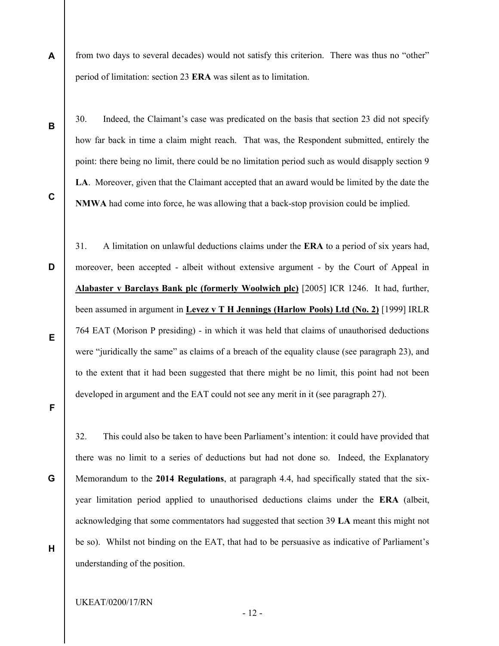A from two days to several decades) would not satisfy this criterion. There was thus no "other" period of limitation: section 23 ERA was silent as to limitation.

B

30. Indeed, the Claimant's case was predicated on the basis that section 23 did not specify how far back in time a claim might reach. That was, the Respondent submitted, entirely the point: there being no limit, there could be no limitation period such as would disapply section 9 LA. Moreover, given that the Claimant accepted that an award would be limited by the date the NMWA had come into force, he was allowing that a back-stop provision could be implied.

C

D

31. A limitation on unlawful deductions claims under the ERA to a period of six years had, moreover, been accepted - albeit without extensive argument - by the Court of Appeal in Alabaster v Barclays Bank plc (formerly Woolwich plc) [2005] ICR 1246. It had, further, been assumed in argument in Levez v T H Jennings (Harlow Pools) Ltd (No. 2) [1999] IRLR 764 EAT (Morison P presiding) - in which it was held that claims of unauthorised deductions were "juridically the same" as claims of a breach of the equality clause (see paragraph 23), and to the extent that it had been suggested that there might be no limit, this point had not been developed in argument and the EAT could not see any merit in it (see paragraph 27).

E

F

32. This could also be taken to have been Parliament's intention: it could have provided that there was no limit to a series of deductions but had not done so. Indeed, the Explanatory Memorandum to the 2014 Regulations, at paragraph 4.4, had specifically stated that the sixyear limitation period applied to unauthorised deductions claims under the ERA (albeit, acknowledging that some commentators had suggested that section 39 LA meant this might not be so). Whilst not binding on the EAT, that had to be persuasive as indicative of Parliament's understanding of the position.

H

G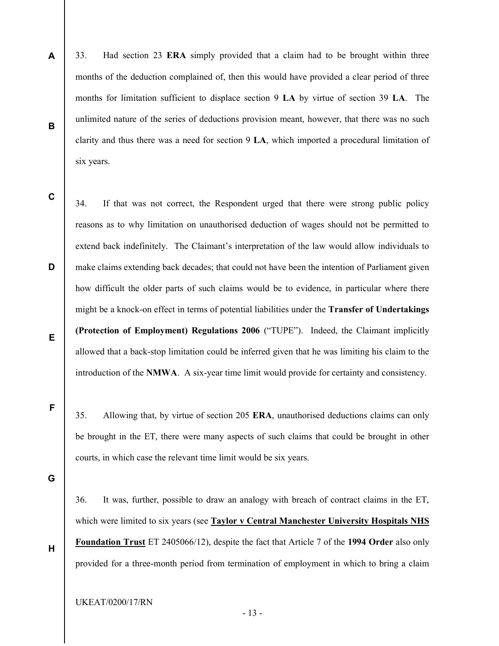A B 33. Had section 23 ERA simply provided that a claim had to be brought within three months of the deduction complained of, then this would have provided a clear period of three months for limitation sufficient to displace section 9 LA by virtue of section 39 LA. The unlimited nature of the series of deductions provision meant, however, that there was no such clarity and thus there was a need for section 9 LA, which imported a procedural limitation of six years.

C

D

E

F

34. If that was not correct, the Respondent urged that there were strong public policy reasons as to why limitation on unauthorised deduction of wages should not be permitted to extend back indefinitely. The Claimant's interpretation of the law would allow individuals to make claims extending back decades; that could not have been the intention of Parliament given how difficult the older parts of such claims would be to evidence, in particular where there might be a knock-on effect in terms of potential liabilities under the Transfer of Undertakings (Protection of Employment) Regulations 2006 ("TUPE"). Indeed, the Claimant implicitly allowed that a back-stop limitation could be inferred given that he was limiting his claim to the introduction of the NMWA. A six-year time limit would provide for certainty and consistency.

35. Allowing that, by virtue of section 205 ERA, unauthorised deductions claims can only be brought in the ET, there were many aspects of such claims that could be brought in other courts, in which case the relevant time limit would be six years.

G

H

36. It was, further, possible to draw an analogy with breach of contract claims in the ET, which were limited to six years (see Taylor v Central Manchester University Hospitals NHS Foundation Trust ET 2405066/12), despite the fact that Article 7 of the 1994 Order also only provided for a three-month period from termination of employment in which to bring a claim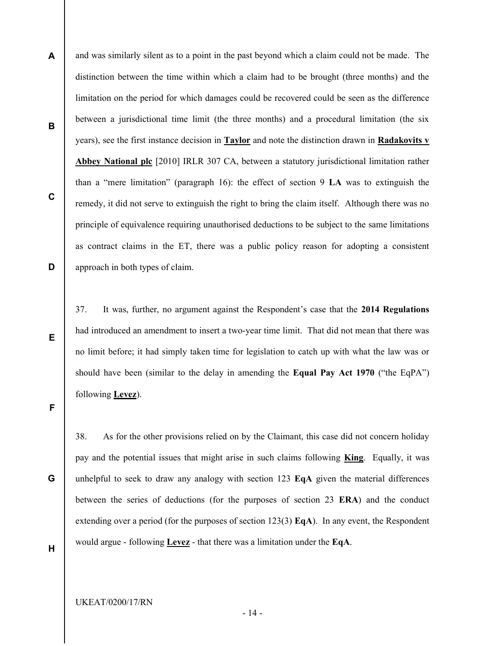and was similarly silent as to a point in the past beyond which a claim could not be made. The distinction between the time within which a claim had to be brought (three months) and the limitation on the period for which damages could be recovered could be seen as the difference between a jurisdictional time limit (the three months) and a procedural limitation (the six years), see the first instance decision in Taylor and note the distinction drawn in Radakovits v Abbey National plc [2010] IRLR 307 CA, between a statutory jurisdictional limitation rather than a "mere limitation" (paragraph 16): the effect of section 9 LA was to extinguish the remedy, it did not serve to extinguish the right to bring the claim itself. Although there was no principle of equivalence requiring unauthorised deductions to be subject to the same limitations as contract claims in the ET, there was a public policy reason for adopting a consistent approach in both types of claim.

37. It was, further, no argument against the Respondent's case that the 2014 Regulations had introduced an amendment to insert a two-year time limit. That did not mean that there was no limit before; it had simply taken time for legislation to catch up with what the law was or should have been (similar to the delay in amending the Equal Pay Act 1970 ("the EqPA") following **Levez**).

F

A

B

C

D

E

G

38. As for the other provisions relied on by the Claimant, this case did not concern holiday pay and the potential issues that might arise in such claims following **King**. Equally, it was unhelpful to seek to draw any analogy with section 123  $EqA$  given the material differences between the series of deductions (for the purposes of section 23 ERA) and the conduct extending over a period (for the purposes of section 123(3)  $EqA$ ). In any event, the Respondent would argue - following Levez - that there was a limitation under the EqA.

H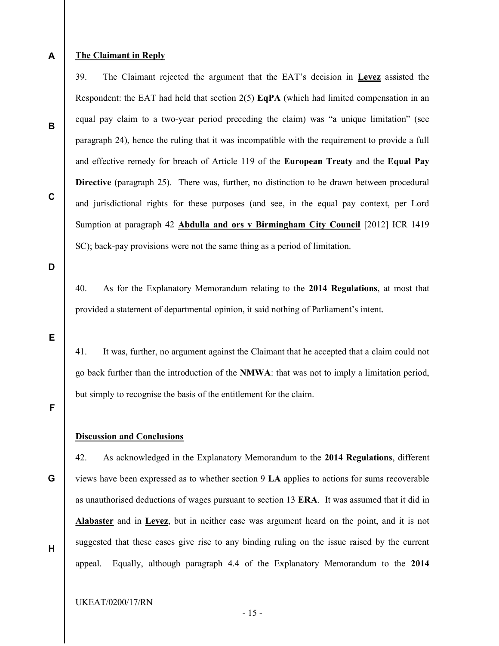## The Claimant in Reply

39. The Claimant rejected the argument that the EAT's decision in Levez assisted the Respondent: the EAT had held that section  $2(5)$  EqPA (which had limited compensation in an equal pay claim to a two-year period preceding the claim) was "a unique limitation" (see paragraph 24), hence the ruling that it was incompatible with the requirement to provide a full and effective remedy for breach of Article 119 of the European Treaty and the Equal Pay Directive (paragraph 25). There was, further, no distinction to be drawn between procedural and jurisdictional rights for these purposes (and see, in the equal pay context, per Lord Sumption at paragraph 42 Abdulla and ors v Birmingham City Council [2012] ICR 1419 SC); back-pay provisions were not the same thing as a period of limitation.

D

A

B

C

40. As for the Explanatory Memorandum relating to the 2014 Regulations, at most that provided a statement of departmental opinion, it said nothing of Parliament's intent.

E

41. It was, further, no argument against the Claimant that he accepted that a claim could not go back further than the introduction of the NMWA: that was not to imply a limitation period, but simply to recognise the basis of the entitlement for the claim.

F

#### Discussion and Conclusions

G 42. As acknowledged in the Explanatory Memorandum to the 2014 Regulations, different views have been expressed as to whether section 9 LA applies to actions for sums recoverable as unauthorised deductions of wages pursuant to section 13 ERA. It was assumed that it did in Alabaster and in Levez, but in neither case was argument heard on the point, and it is not suggested that these cases give rise to any binding ruling on the issue raised by the current appeal. Equally, although paragraph 4.4 of the Explanatory Memorandum to the 2014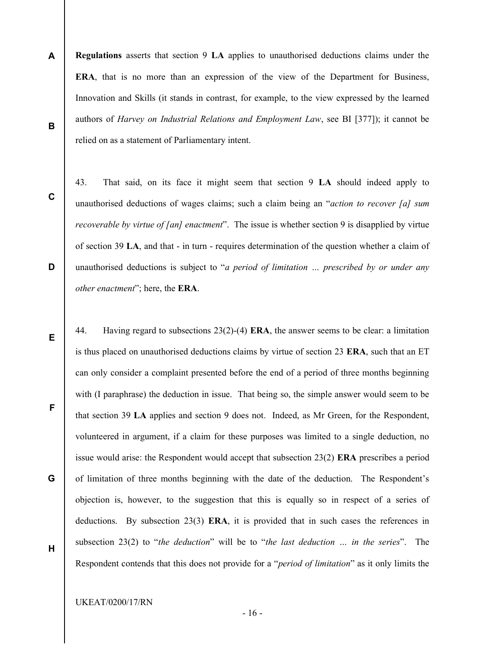- A B Regulations asserts that section 9 LA applies to unauthorised deductions claims under the ERA, that is no more than an expression of the view of the Department for Business, Innovation and Skills (it stands in contrast, for example, to the view expressed by the learned authors of Harvey on Industrial Relations and Employment Law, see BI [377]); it cannot be relied on as a statement of Parliamentary intent.
	- 43. That said, on its face it might seem that section 9 LA should indeed apply to unauthorised deductions of wages claims; such a claim being an "*action to recover [a] sum* recoverable by virtue of [an] enactment". The issue is whether section 9 is disapplied by virtue of section 39 LA, and that - in turn - requires determination of the question whether a claim of unauthorised deductions is subject to "a period of limitation ... prescribed by or under any other enactment"; here, the ERA.
	- 44. Having regard to subsections 23(2)-(4) ERA, the answer seems to be clear: a limitation is thus placed on unauthorised deductions claims by virtue of section 23 **ERA**, such that an ET can only consider a complaint presented before the end of a period of three months beginning with (I paraphrase) the deduction in issue. That being so, the simple answer would seem to be that section 39 LA applies and section 9 does not. Indeed, as Mr Green, for the Respondent, volunteered in argument, if a claim for these purposes was limited to a single deduction, no issue would arise: the Respondent would accept that subsection 23(2) ERA prescribes a period of limitation of three months beginning with the date of the deduction. The Respondent's objection is, however, to the suggestion that this is equally so in respect of a series of deductions. By subsection 23(3) ERA, it is provided that in such cases the references in subsection 23(2) to "the deduction" will be to "the last deduction ... in the series". The Respondent contends that this does not provide for a "period of limitation" as it only limits the

UKEAT/0200/17/RN

C

D

E

F

G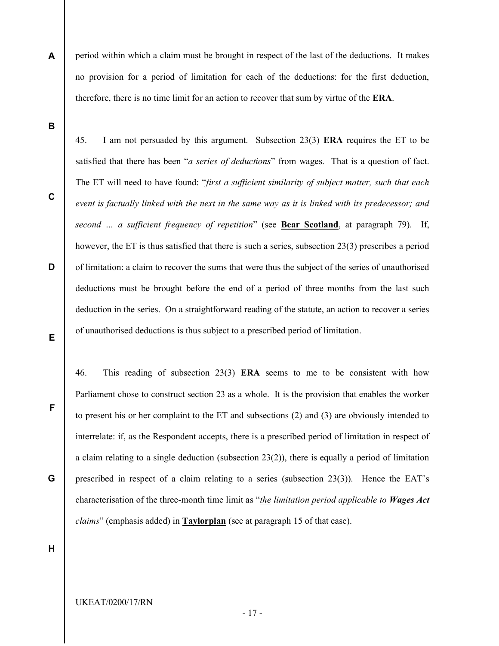A period within which a claim must be brought in respect of the last of the deductions. It makes no provision for a period of limitation for each of the deductions: for the first deduction, therefore, there is no time limit for an action to recover that sum by virtue of the ERA.

45. I am not persuaded by this argument. Subsection 23(3) ERA requires the ET to be

B

C

D

E

F

satisfied that there has been "*a series of deductions*" from wages. That is a question of fact. The ET will need to have found: "first a sufficient similarity of subject matter, such that each event is factually linked with the next in the same way as it is linked with its predecessor; and second ... a sufficient frequency of repetition" (see Bear Scotland, at paragraph 79). If, however, the ET is thus satisfied that there is such a series, subsection 23(3) prescribes a period of limitation: a claim to recover the sums that were thus the subject of the series of unauthorised deductions must be brought before the end of a period of three months from the last such deduction in the series. On a straightforward reading of the statute, an action to recover a series of unauthorised deductions is thus subject to a prescribed period of limitation.

46. This reading of subsection 23(3) ERA seems to me to be consistent with how Parliament chose to construct section 23 as a whole. It is the provision that enables the worker to present his or her complaint to the ET and subsections (2) and (3) are obviously intended to interrelate: if, as the Respondent accepts, there is a prescribed period of limitation in respect of a claim relating to a single deduction (subsection  $23(2)$ ), there is equally a period of limitation prescribed in respect of a claim relating to a series (subsection 23(3)). Hence the EAT's characterisation of the three-month time limit as "the limitation period applicable to Wages Act claims" (emphasis added) in Taylorplan (see at paragraph 15 of that case).

H

G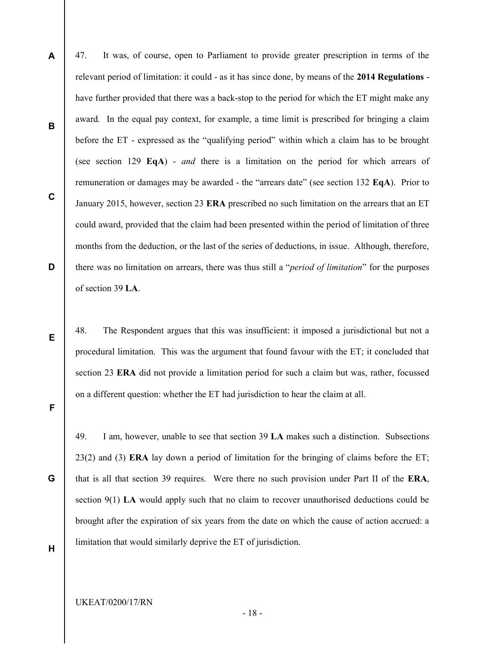A B C D 47. It was, of course, open to Parliament to provide greater prescription in terms of the relevant period of limitation: it could - as it has since done, by means of the 2014 Regulations have further provided that there was a back-stop to the period for which the ET might make any award. In the equal pay context, for example, a time limit is prescribed for bringing a claim before the ET - expressed as the "qualifying period" within which a claim has to be brought (see section 129 EqA) - and there is a limitation on the period for which arrears of remuneration or damages may be awarded - the "arrears date" (see section 132 EqA). Prior to January 2015, however, section 23 ERA prescribed no such limitation on the arrears that an ET could award, provided that the claim had been presented within the period of limitation of three months from the deduction, or the last of the series of deductions, in issue. Although, therefore, there was no limitation on arrears, there was thus still a "period of limitation" for the purposes of section 39 LA.

48. The Respondent argues that this was insufficient: it imposed a jurisdictional but not a procedural limitation. This was the argument that found favour with the ET; it concluded that section 23 ERA did not provide a limitation period for such a claim but was, rather, focussed on a different question: whether the ET had jurisdiction to hear the claim at all.

G

F

E

49. I am, however, unable to see that section 39 LA makes such a distinction. Subsections 23(2) and (3) ERA lay down a period of limitation for the bringing of claims before the ET; that is all that section 39 requires. Were there no such provision under Part II of the ERA, section 9(1) LA would apply such that no claim to recover unauthorised deductions could be brought after the expiration of six years from the date on which the cause of action accrued: a limitation that would similarly deprive the ET of jurisdiction.

H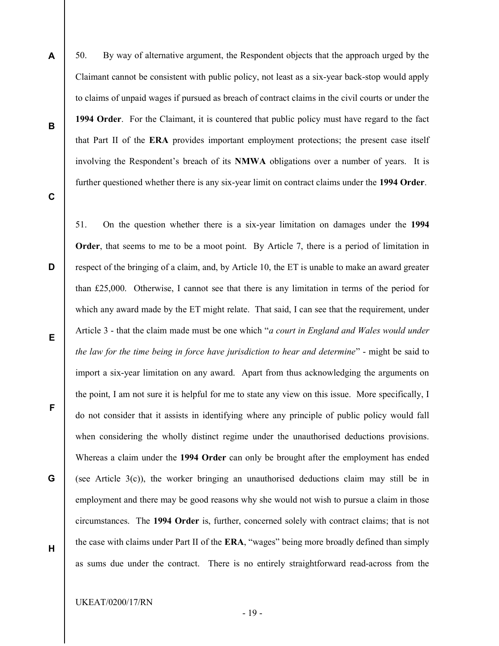- 50. By way of alternative argument, the Respondent objects that the approach urged by the Claimant cannot be consistent with public policy, not least as a six-year back-stop would apply to claims of unpaid wages if pursued as breach of contract claims in the civil courts or under the 1994 Order. For the Claimant, it is countered that public policy must have regard to the fact that Part II of the ERA provides important employment protections; the present case itself involving the Respondent's breach of its NMWA obligations over a number of years. It is further questioned whether there is any six-year limit on contract claims under the 1994 Order.
- C

A

B

D 51. On the question whether there is a six-year limitation on damages under the 1994 Order, that seems to me to be a moot point. By Article 7, there is a period of limitation in respect of the bringing of a claim, and, by Article 10, the ET is unable to make an award greater than £25,000. Otherwise, I cannot see that there is any limitation in terms of the period for which any award made by the ET might relate. That said, I can see that the requirement, under Article 3 - that the claim made must be one which "*a court in England and Wales would under* the law for the time being in force have jurisdiction to hear and determine" - might be said to import a six-year limitation on any award. Apart from thus acknowledging the arguments on the point, I am not sure it is helpful for me to state any view on this issue. More specifically, I do not consider that it assists in identifying where any principle of public policy would fall when considering the wholly distinct regime under the unauthorised deductions provisions. Whereas a claim under the 1994 Order can only be brought after the employment has ended (see Article 3(c)), the worker bringing an unauthorised deductions claim may still be in employment and there may be good reasons why she would not wish to pursue a claim in those circumstances. The 1994 Order is, further, concerned solely with contract claims; that is not the case with claims under Part II of the ERA, "wages" being more broadly defined than simply as sums due under the contract. There is no entirely straightforward read-across from the

- E
- F

G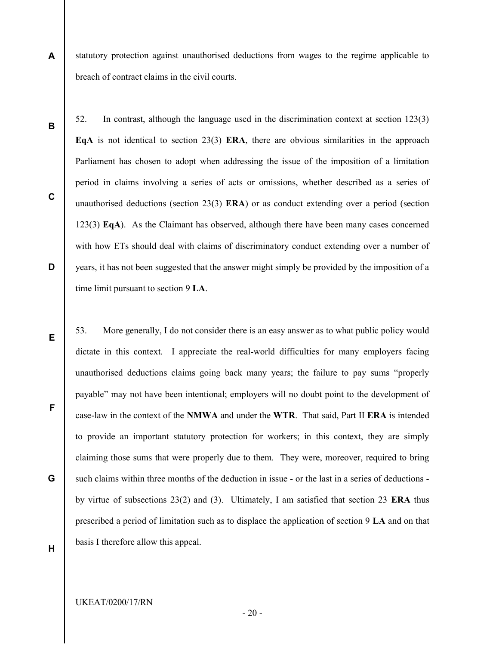- A statutory protection against unauthorised deductions from wages to the regime applicable to breach of contract claims in the civil courts.
- B

C

D

52. In contrast, although the language used in the discrimination context at section 123(3) EqA is not identical to section 23(3) ERA, there are obvious similarities in the approach Parliament has chosen to adopt when addressing the issue of the imposition of a limitation period in claims involving a series of acts or omissions, whether described as a series of unauthorised deductions (section 23(3)  $\textbf{ERA}$ ) or as conduct extending over a period (section 123(3) EqA). As the Claimant has observed, although there have been many cases concerned with how ETs should deal with claims of discriminatory conduct extending over a number of years, it has not been suggested that the answer might simply be provided by the imposition of a time limit pursuant to section 9 LA.

- 53. More generally, I do not consider there is an easy answer as to what public policy would dictate in this context. I appreciate the real-world difficulties for many employers facing unauthorised deductions claims going back many years; the failure to pay sums "properly payable" may not have been intentional; employers will no doubt point to the development of case-law in the context of the NMWA and under the WTR. That said, Part II ERA is intended to provide an important statutory protection for workers; in this context, they are simply claiming those sums that were properly due to them. They were, moreover, required to bring such claims within three months of the deduction in issue - or the last in a series of deductions by virtue of subsections 23(2) and (3). Ultimately, I am satisfied that section 23 ERA thus prescribed a period of limitation such as to displace the application of section 9 LA and on that basis I therefore allow this appeal.
- E

G

F